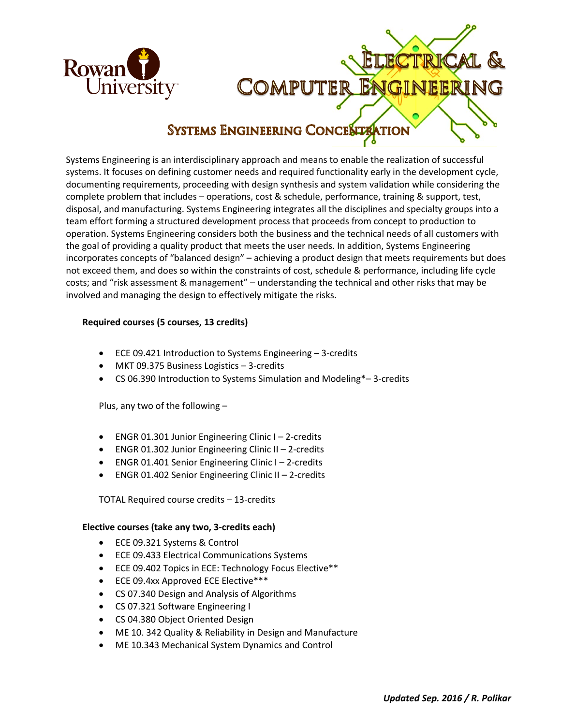

# L'OMPUTER

#### **SYSTEMS ENGINEERING CONCE TION**

Systems Engineering is an interdisciplinary approach and means to enable the realization of successful systems. It focuses on defining customer needs and required functionality early in the development cycle, documenting requirements, proceeding with design synthesis and system validation while considering the complete problem that includes – operations, cost & schedule, performance, training & support, test, disposal, and manufacturing. Systems Engineering integrates all the disciplines and specialty groups into a team effort forming a structured development process that proceeds from concept to production to operation. Systems Engineering considers both the business and the technical needs of all customers with the goal of providing a quality product that meets the user needs. In addition, Systems Engineering incorporates concepts of "balanced design" – achieving a product design that meets requirements but does not exceed them, and does so within the constraints of cost, schedule & performance, including life cycle costs; and "risk assessment & management" – understanding the technical and other risks that may be involved and managing the design to effectively mitigate the risks.

### **Required courses (5 courses, 13 credits)**

- ECE 09.421 Introduction to Systems Engineering 3-credits
- MKT 09.375 Business Logistics 3-credits
- CS 06.390 Introduction to Systems Simulation and Modeling\*– 3-credits

Plus, any two of the following –

- ENGR 01.301 Junior Engineering Clinic I 2-credits
- ENGR 01.302 Junior Engineering Clinic II 2-credits
- ENGR 01.401 Senior Engineering Clinic I 2-credits
- ENGR 01.402 Senior Engineering Clinic II 2-credits

TOTAL Required course credits – 13-credits

### **Elective courses (take any two, 3-credits each)**

- ECE 09.321 Systems & Control
- ECE 09.433 Electrical Communications Systems
- ECE 09.402 Topics in ECE: Technology Focus Elective\*\*
- ECE 09.4xx Approved ECE Elective\*\*\*
- CS 07.340 Design and Analysis of Algorithms
- CS 07.321 Software Engineering I
- CS 04.380 Object Oriented Design
- ME 10. 342 Quality & Reliability in Design and Manufacture
- ME 10.343 Mechanical System Dynamics and Control